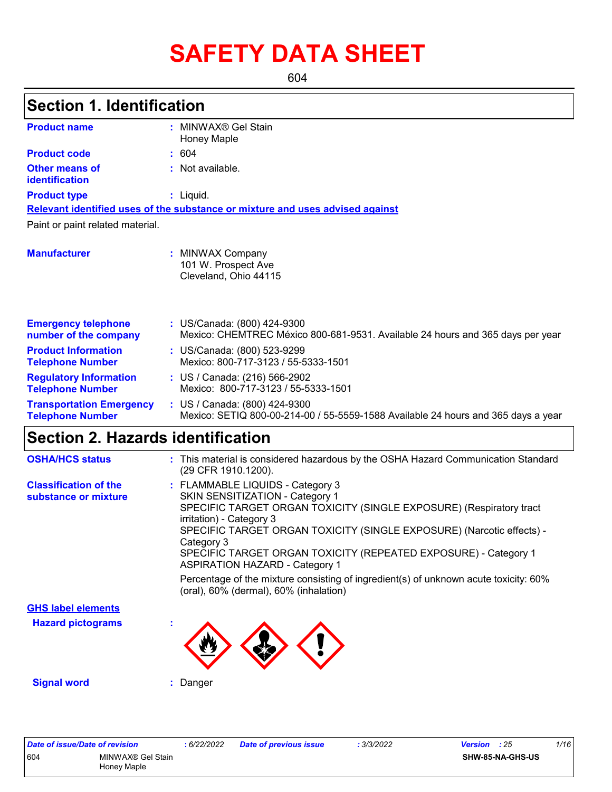# **SAFETY DATA SHEET**

604

| <b>Section 1. Identification</b>                           |                                                                                                                    |
|------------------------------------------------------------|--------------------------------------------------------------------------------------------------------------------|
| <b>Product name</b>                                        | : MINWAX® Gel Stain<br><b>Honey Maple</b>                                                                          |
| <b>Product code</b>                                        | : 604                                                                                                              |
| Other means of<br><b>identification</b>                    | : Not available.                                                                                                   |
| <b>Product type</b>                                        | $:$ Liquid.                                                                                                        |
|                                                            | Relevant identified uses of the substance or mixture and uses advised against                                      |
| Paint or paint related material.                           |                                                                                                                    |
| <b>Manufacturer</b>                                        | : MINWAX Company<br>101 W. Prospect Ave<br>Cleveland, Ohio 44115                                                   |
| <b>Emergency telephone</b><br>number of the company        | : US/Canada: (800) 424-9300<br>Mexico: CHEMTREC México 800-681-9531. Available 24 hours and 365 days per year      |
| <b>Product Information</b><br><b>Telephone Number</b>      | : US/Canada: (800) 523-9299<br>Mexico: 800-717-3123 / 55-5333-1501                                                 |
| <b>Regulatory Information</b><br><b>Telephone Number</b>   | : US / Canada: (216) 566-2902<br>Mexico: 800-717-3123 / 55-5333-1501                                               |
| <b>Transportation Emergency</b><br><b>Telephone Number</b> | : US / Canada: (800) 424-9300<br>Mexico: SETIQ 800-00-214-00 / 55-5559-1588 Available 24 hours and 365 days a year |
| Section 2. Hazards identification                          |                                                                                                                    |

| <b>OSHA/HCS status</b>                               | : This material is considered hazardous by the OSHA Hazard Communication Standard<br>(29 CFR 1910.1200).                                                                                                                                                                                                                                                                  |
|------------------------------------------------------|---------------------------------------------------------------------------------------------------------------------------------------------------------------------------------------------------------------------------------------------------------------------------------------------------------------------------------------------------------------------------|
| <b>Classification of the</b><br>substance or mixture | : FLAMMABLE LIQUIDS - Category 3<br>SKIN SENSITIZATION - Category 1<br>SPECIFIC TARGET ORGAN TOXICITY (SINGLE EXPOSURE) (Respiratory tract<br>irritation) - Category 3<br>SPECIFIC TARGET ORGAN TOXICITY (SINGLE EXPOSURE) (Narcotic effects) -<br>Category 3<br>SPECIFIC TARGET ORGAN TOXICITY (REPEATED EXPOSURE) - Category 1<br><b>ASPIRATION HAZARD - Category 1</b> |
|                                                      | Percentage of the mixture consisting of ingredient(s) of unknown acute toxicity: 60%<br>(oral), 60% (dermal), 60% (inhalation)                                                                                                                                                                                                                                            |
| <b>GHS label elements</b>                            |                                                                                                                                                                                                                                                                                                                                                                           |
| <b>Hazard pictograms</b>                             |                                                                                                                                                                                                                                                                                                                                                                           |
| <b>Signal word</b>                                   | : Danger                                                                                                                                                                                                                                                                                                                                                                  |

*Date of issue/Date of revision* **:** *6/22/2022 Date of previous issue : 3/3/2022 Version : 25 1/16* 604 MINWAX® Gel Stain Honey Maple **SHW-85-NA-GHS-US**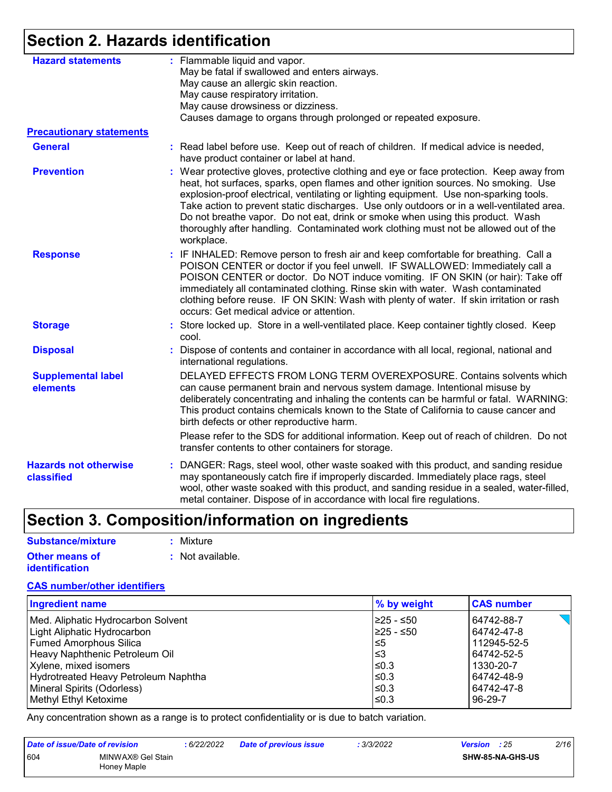### **Section 2. Hazards identification**

| <b>Hazard statements</b>                   | : Flammable liquid and vapor.<br>May be fatal if swallowed and enters airways.<br>May cause an allergic skin reaction.<br>May cause respiratory irritation.<br>May cause drowsiness or dizziness.<br>Causes damage to organs through prolonged or repeated exposure.                                                                                                                                                                                                                                                                                           |
|--------------------------------------------|----------------------------------------------------------------------------------------------------------------------------------------------------------------------------------------------------------------------------------------------------------------------------------------------------------------------------------------------------------------------------------------------------------------------------------------------------------------------------------------------------------------------------------------------------------------|
| <b>Precautionary statements</b>            |                                                                                                                                                                                                                                                                                                                                                                                                                                                                                                                                                                |
| <b>General</b>                             | : Read label before use. Keep out of reach of children. If medical advice is needed,<br>have product container or label at hand.                                                                                                                                                                                                                                                                                                                                                                                                                               |
| <b>Prevention</b>                          | : Wear protective gloves, protective clothing and eye or face protection. Keep away from<br>heat, hot surfaces, sparks, open flames and other ignition sources. No smoking. Use<br>explosion-proof electrical, ventilating or lighting equipment. Use non-sparking tools.<br>Take action to prevent static discharges. Use only outdoors or in a well-ventilated area.<br>Do not breathe vapor. Do not eat, drink or smoke when using this product. Wash<br>thoroughly after handling. Contaminated work clothing must not be allowed out of the<br>workplace. |
| <b>Response</b>                            | : IF INHALED: Remove person to fresh air and keep comfortable for breathing. Call a<br>POISON CENTER or doctor if you feel unwell. IF SWALLOWED: Immediately call a<br>POISON CENTER or doctor. Do NOT induce vomiting. IF ON SKIN (or hair): Take off<br>immediately all contaminated clothing. Rinse skin with water. Wash contaminated<br>clothing before reuse. IF ON SKIN: Wash with plenty of water. If skin irritation or rash<br>occurs: Get medical advice or attention.                                                                              |
| <b>Storage</b>                             | : Store locked up. Store in a well-ventilated place. Keep container tightly closed. Keep<br>cool.                                                                                                                                                                                                                                                                                                                                                                                                                                                              |
| <b>Disposal</b>                            | : Dispose of contents and container in accordance with all local, regional, national and<br>international regulations.                                                                                                                                                                                                                                                                                                                                                                                                                                         |
| <b>Supplemental label</b><br>elements      | DELAYED EFFECTS FROM LONG TERM OVEREXPOSURE. Contains solvents which<br>can cause permanent brain and nervous system damage. Intentional misuse by<br>deliberately concentrating and inhaling the contents can be harmful or fatal. WARNING:<br>This product contains chemicals known to the State of California to cause cancer and<br>birth defects or other reproductive harm.                                                                                                                                                                              |
|                                            | Please refer to the SDS for additional information. Keep out of reach of children. Do not<br>transfer contents to other containers for storage.                                                                                                                                                                                                                                                                                                                                                                                                                |
| <b>Hazards not otherwise</b><br>classified | : DANGER: Rags, steel wool, other waste soaked with this product, and sanding residue<br>may spontaneously catch fire if improperly discarded. Immediately place rags, steel<br>wool, other waste soaked with this product, and sanding residue in a sealed, water-filled,<br>metal container. Dispose of in accordance with local fire regulations.                                                                                                                                                                                                           |

## **Section 3. Composition/information on ingredients**

| Substance/mixture     | : Mixture        |
|-----------------------|------------------|
| <b>Other means of</b> | : Not available. |
| <i>identification</i> |                  |

#### **CAS number/other identifiers**

| <b>Ingredient name</b>               | % by weight | <b>CAS number</b> |
|--------------------------------------|-------------|-------------------|
| Med. Aliphatic Hydrocarbon Solvent   | I≥25 - ≤50  | 64742-88-7        |
| Light Aliphatic Hydrocarbon          | I≥25 - ≤50  | 64742-47-8        |
| Fumed Amorphous Silica               | l≤5         | 112945-52-5       |
| Heavy Naphthenic Petroleum Oil       | l≤3         | 64742-52-5        |
| Xylene, mixed isomers                | $\leq 0.3$  | 1330-20-7         |
| Hydrotreated Heavy Petroleum Naphtha | $\leq$ 0.3  | 64742-48-9        |
| Mineral Spirits (Odorless)           | $\leq$ 0.3  | 64742-47-8        |
| Methyl Ethyl Ketoxime                | l≤0.3       | 96-29-7           |

Any concentration shown as a range is to protect confidentiality or is due to batch variation.

| Date of issue/Date of revision |                                  | : 6/22/2022 | Date of previous issue | : 3/3/2022 | <b>Version</b> : 25 |                         | 2/16 |
|--------------------------------|----------------------------------|-------------|------------------------|------------|---------------------|-------------------------|------|
| 604                            | MINWAX® Gel Stain<br>Honey Maple |             |                        |            |                     | <b>SHW-85-NA-GHS-US</b> |      |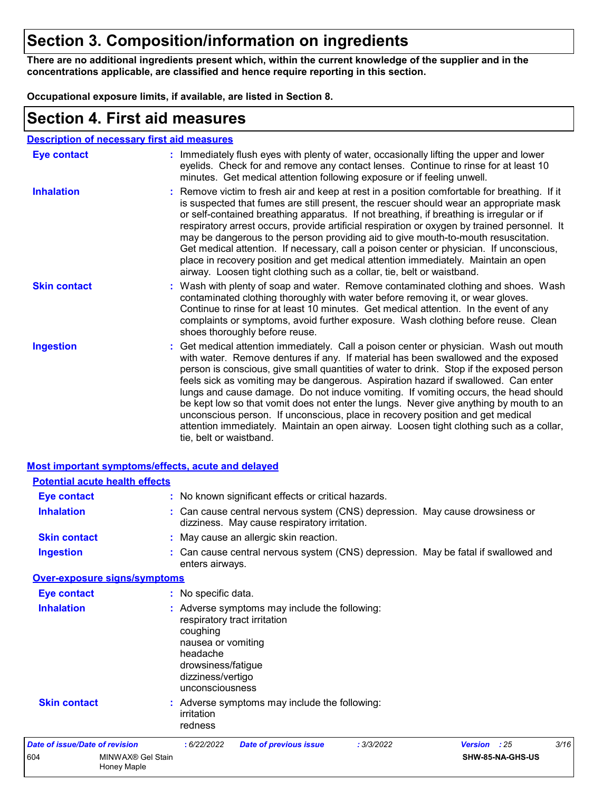### **Section 3. Composition/information on ingredients**

**There are no additional ingredients present which, within the current knowledge of the supplier and in the concentrations applicable, are classified and hence require reporting in this section.**

**Occupational exposure limits, if available, are listed in Section 8.**

### **Section 4. First aid measures**

| <b>Description of necessary first aid measures</b> |
|----------------------------------------------------|
|----------------------------------------------------|

| Eye contact         | : Immediately flush eyes with plenty of water, occasionally lifting the upper and lower<br>eyelids. Check for and remove any contact lenses. Continue to rinse for at least 10<br>minutes. Get medical attention following exposure or if feeling unwell.                                                                                                                                                                                                                                                                                                                                                                                                                                                                                               |
|---------------------|---------------------------------------------------------------------------------------------------------------------------------------------------------------------------------------------------------------------------------------------------------------------------------------------------------------------------------------------------------------------------------------------------------------------------------------------------------------------------------------------------------------------------------------------------------------------------------------------------------------------------------------------------------------------------------------------------------------------------------------------------------|
| <b>Inhalation</b>   | : Remove victim to fresh air and keep at rest in a position comfortable for breathing. If it<br>is suspected that fumes are still present, the rescuer should wear an appropriate mask<br>or self-contained breathing apparatus. If not breathing, if breathing is irregular or if<br>respiratory arrest occurs, provide artificial respiration or oxygen by trained personnel. It<br>may be dangerous to the person providing aid to give mouth-to-mouth resuscitation.<br>Get medical attention. If necessary, call a poison center or physician. If unconscious,<br>place in recovery position and get medical attention immediately. Maintain an open<br>airway. Loosen tight clothing such as a collar, tie, belt or waistband.                    |
| <b>Skin contact</b> | : Wash with plenty of soap and water. Remove contaminated clothing and shoes. Wash<br>contaminated clothing thoroughly with water before removing it, or wear gloves.<br>Continue to rinse for at least 10 minutes. Get medical attention. In the event of any<br>complaints or symptoms, avoid further exposure. Wash clothing before reuse. Clean<br>shoes thoroughly before reuse.                                                                                                                                                                                                                                                                                                                                                                   |
| <b>Ingestion</b>    | : Get medical attention immediately. Call a poison center or physician. Wash out mouth<br>with water. Remove dentures if any. If material has been swallowed and the exposed<br>person is conscious, give small quantities of water to drink. Stop if the exposed person<br>feels sick as vomiting may be dangerous. Aspiration hazard if swallowed. Can enter<br>lungs and cause damage. Do not induce vomiting. If vomiting occurs, the head should<br>be kept low so that vomit does not enter the lungs. Never give anything by mouth to an<br>unconscious person. If unconscious, place in recovery position and get medical<br>attention immediately. Maintain an open airway. Loosen tight clothing such as a collar,<br>tie, belt or waistband. |

|                                       | <b>Most important symptoms/effects, acute and delayed</b> |                                                                                                                                          |                                                                                                                              |            |              |                  |      |
|---------------------------------------|-----------------------------------------------------------|------------------------------------------------------------------------------------------------------------------------------------------|------------------------------------------------------------------------------------------------------------------------------|------------|--------------|------------------|------|
|                                       | <b>Potential acute health effects</b>                     |                                                                                                                                          |                                                                                                                              |            |              |                  |      |
| Eye contact                           |                                                           |                                                                                                                                          | : No known significant effects or critical hazards.                                                                          |            |              |                  |      |
| <b>Inhalation</b>                     |                                                           |                                                                                                                                          | : Can cause central nervous system (CNS) depression. May cause drowsiness or<br>dizziness. May cause respiratory irritation. |            |              |                  |      |
| <b>Skin contact</b>                   |                                                           |                                                                                                                                          | : May cause an allergic skin reaction.                                                                                       |            |              |                  |      |
| <b>Ingestion</b>                      |                                                           | enters airways.                                                                                                                          | : Can cause central nervous system (CNS) depression. May be fatal if swallowed and                                           |            |              |                  |      |
|                                       | <b>Over-exposure signs/symptoms</b>                       |                                                                                                                                          |                                                                                                                              |            |              |                  |      |
| <b>Eye contact</b>                    |                                                           | : No specific data.                                                                                                                      |                                                                                                                              |            |              |                  |      |
| <b>Inhalation</b>                     |                                                           | respiratory tract irritation<br>coughing<br>nausea or vomiting<br>headache<br>drowsiness/fatigue<br>dizziness/vertigo<br>unconsciousness | : Adverse symptoms may include the following:                                                                                |            |              |                  |      |
| <b>Skin contact</b>                   |                                                           | irritation<br>redness                                                                                                                    | : Adverse symptoms may include the following:                                                                                |            |              |                  |      |
| <b>Date of issue/Date of revision</b> |                                                           | : 6/22/2022                                                                                                                              | <b>Date of previous issue</b>                                                                                                | : 3/3/2022 | Version : 25 |                  | 3/16 |
| 604                                   | MINWAX® Gel Stain<br><b>Honey Maple</b>                   |                                                                                                                                          |                                                                                                                              |            |              | SHW-85-NA-GHS-US |      |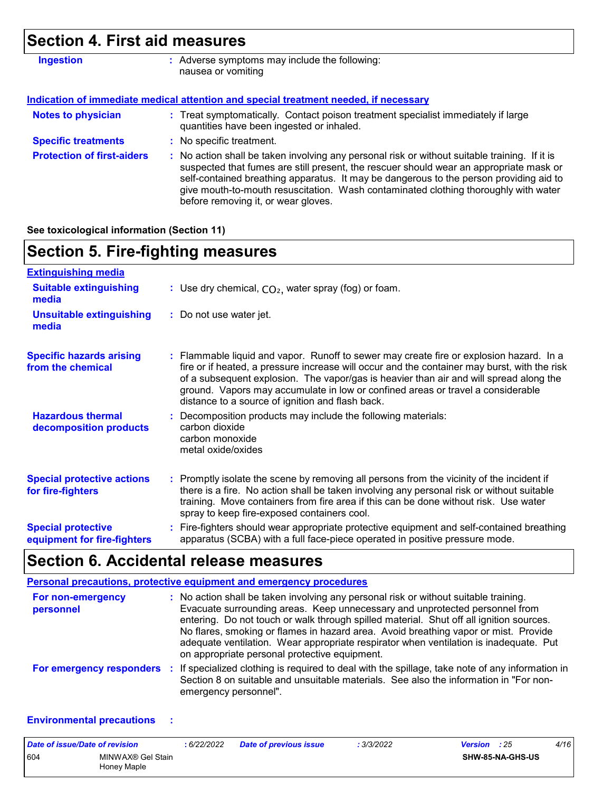# **Section 4. First aid measures**

| <b>Ingestion</b>                  | : Adverse symptoms may include the following:<br>nausea or vomiting                                                                                                                                                                                                                                                                                                                                             |
|-----------------------------------|-----------------------------------------------------------------------------------------------------------------------------------------------------------------------------------------------------------------------------------------------------------------------------------------------------------------------------------------------------------------------------------------------------------------|
|                                   | Indication of immediate medical attention and special treatment needed, if necessary                                                                                                                                                                                                                                                                                                                            |
| <b>Notes to physician</b>         | : Treat symptomatically. Contact poison treatment specialist immediately if large<br>quantities have been ingested or inhaled.                                                                                                                                                                                                                                                                                  |
| <b>Specific treatments</b>        | : No specific treatment.                                                                                                                                                                                                                                                                                                                                                                                        |
| <b>Protection of first-aiders</b> | : No action shall be taken involving any personal risk or without suitable training. If it is<br>suspected that fumes are still present, the rescuer should wear an appropriate mask or<br>self-contained breathing apparatus. It may be dangerous to the person providing aid to<br>give mouth-to-mouth resuscitation. Wash contaminated clothing thoroughly with water<br>before removing it, or wear gloves. |

**See toxicological information (Section 11)**

### **Section 5. Fire-fighting measures**

| <b>Extinguishing media</b>                               |                                                                                                                                                                                                                                                                                                                                                                                                                          |
|----------------------------------------------------------|--------------------------------------------------------------------------------------------------------------------------------------------------------------------------------------------------------------------------------------------------------------------------------------------------------------------------------------------------------------------------------------------------------------------------|
| <b>Suitable extinguishing</b><br>media                   | : Use dry chemical, $CO2$ , water spray (fog) or foam.                                                                                                                                                                                                                                                                                                                                                                   |
| <b>Unsuitable extinguishing</b><br>media                 | : Do not use water jet.                                                                                                                                                                                                                                                                                                                                                                                                  |
| <b>Specific hazards arising</b><br>from the chemical     | : Flammable liquid and vapor. Runoff to sewer may create fire or explosion hazard. In a<br>fire or if heated, a pressure increase will occur and the container may burst, with the risk<br>of a subsequent explosion. The vapor/gas is heavier than air and will spread along the<br>ground. Vapors may accumulate in low or confined areas or travel a considerable<br>distance to a source of ignition and flash back. |
| <b>Hazardous thermal</b><br>decomposition products       | : Decomposition products may include the following materials:<br>carbon dioxide<br>carbon monoxide<br>metal oxide/oxides                                                                                                                                                                                                                                                                                                 |
| <b>Special protective actions</b><br>for fire-fighters   | : Promptly isolate the scene by removing all persons from the vicinity of the incident if<br>there is a fire. No action shall be taken involving any personal risk or without suitable<br>training. Move containers from fire area if this can be done without risk. Use water<br>spray to keep fire-exposed containers cool.                                                                                            |
| <b>Special protective</b><br>equipment for fire-fighters | : Fire-fighters should wear appropriate protective equipment and self-contained breathing<br>apparatus (SCBA) with a full face-piece operated in positive pressure mode.                                                                                                                                                                                                                                                 |

### **Section 6. Accidental release measures**

|                                | <b>Personal precautions, protective equipment and emergency procedures</b>                                                                                                                                                                                                                                                                                                                                                                                                                      |
|--------------------------------|-------------------------------------------------------------------------------------------------------------------------------------------------------------------------------------------------------------------------------------------------------------------------------------------------------------------------------------------------------------------------------------------------------------------------------------------------------------------------------------------------|
| For non-emergency<br>personnel | : No action shall be taken involving any personal risk or without suitable training.<br>Evacuate surrounding areas. Keep unnecessary and unprotected personnel from<br>entering. Do not touch or walk through spilled material. Shut off all ignition sources.<br>No flares, smoking or flames in hazard area. Avoid breathing vapor or mist. Provide<br>adequate ventilation. Wear appropriate respirator when ventilation is inadequate. Put<br>on appropriate personal protective equipment. |
|                                | For emergency responders : If specialized clothing is required to deal with the spillage, take note of any information in<br>Section 8 on suitable and unsuitable materials. See also the information in "For non-<br>emergency personnel".                                                                                                                                                                                                                                                     |

#### **Environmental precautions :**

| Date of issue/Date of revision |                                  | : 6/22/2022 | <b>Date of previous issue</b> | : 3/3/2022 | <b>Version</b> : 25 |                         | 4/16 |  |
|--------------------------------|----------------------------------|-------------|-------------------------------|------------|---------------------|-------------------------|------|--|
| 604                            | MINWAX® Gel Stain<br>Honey Maple |             |                               |            |                     | <b>SHW-85-NA-GHS-US</b> |      |  |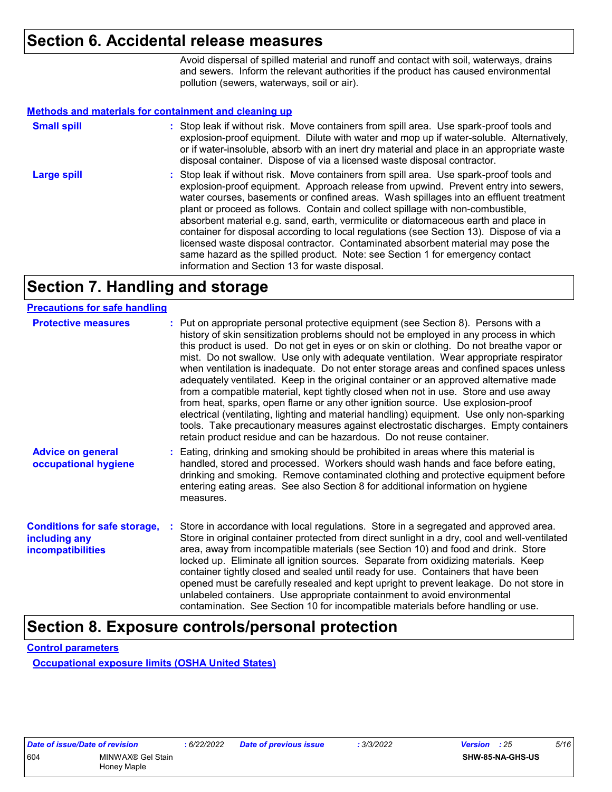### **Section 6. Accidental release measures**

Avoid dispersal of spilled material and runoff and contact with soil, waterways, drains and sewers. Inform the relevant authorities if the product has caused environmental pollution (sewers, waterways, soil or air).

#### **Methods and materials for containment and cleaning up**

| <b>Small spill</b> | : Stop leak if without risk. Move containers from spill area. Use spark-proof tools and<br>explosion-proof equipment. Dilute with water and mop up if water-soluble. Alternatively,<br>or if water-insoluble, absorb with an inert dry material and place in an appropriate waste<br>disposal container. Dispose of via a licensed waste disposal contractor.                                                                                                                                                                                                                                                                                                                                                                                                        |
|--------------------|----------------------------------------------------------------------------------------------------------------------------------------------------------------------------------------------------------------------------------------------------------------------------------------------------------------------------------------------------------------------------------------------------------------------------------------------------------------------------------------------------------------------------------------------------------------------------------------------------------------------------------------------------------------------------------------------------------------------------------------------------------------------|
| <b>Large spill</b> | : Stop leak if without risk. Move containers from spill area. Use spark-proof tools and<br>explosion-proof equipment. Approach release from upwind. Prevent entry into sewers,<br>water courses, basements or confined areas. Wash spillages into an effluent treatment<br>plant or proceed as follows. Contain and collect spillage with non-combustible,<br>absorbent material e.g. sand, earth, vermiculite or diatomaceous earth and place in<br>container for disposal according to local regulations (see Section 13). Dispose of via a<br>licensed waste disposal contractor. Contaminated absorbent material may pose the<br>same hazard as the spilled product. Note: see Section 1 for emergency contact<br>information and Section 13 for waste disposal. |

### **Section 7. Handling and storage**

#### **Precautions for safe handling**

| <b>Protective measures</b>                                                       | : Put on appropriate personal protective equipment (see Section 8). Persons with a<br>history of skin sensitization problems should not be employed in any process in which<br>this product is used. Do not get in eyes or on skin or clothing. Do not breathe vapor or<br>mist. Do not swallow. Use only with adequate ventilation. Wear appropriate respirator<br>when ventilation is inadequate. Do not enter storage areas and confined spaces unless<br>adequately ventilated. Keep in the original container or an approved alternative made<br>from a compatible material, kept tightly closed when not in use. Store and use away<br>from heat, sparks, open flame or any other ignition source. Use explosion-proof<br>electrical (ventilating, lighting and material handling) equipment. Use only non-sparking<br>tools. Take precautionary measures against electrostatic discharges. Empty containers<br>retain product residue and can be hazardous. Do not reuse container. |
|----------------------------------------------------------------------------------|--------------------------------------------------------------------------------------------------------------------------------------------------------------------------------------------------------------------------------------------------------------------------------------------------------------------------------------------------------------------------------------------------------------------------------------------------------------------------------------------------------------------------------------------------------------------------------------------------------------------------------------------------------------------------------------------------------------------------------------------------------------------------------------------------------------------------------------------------------------------------------------------------------------------------------------------------------------------------------------------|
| <b>Advice on general</b><br>occupational hygiene                                 | : Eating, drinking and smoking should be prohibited in areas where this material is<br>handled, stored and processed. Workers should wash hands and face before eating,<br>drinking and smoking. Remove contaminated clothing and protective equipment before<br>entering eating areas. See also Section 8 for additional information on hygiene<br>measures.                                                                                                                                                                                                                                                                                                                                                                                                                                                                                                                                                                                                                              |
| <b>Conditions for safe storage,</b><br>including any<br><i>incompatibilities</i> | Store in accordance with local regulations. Store in a segregated and approved area.<br>Store in original container protected from direct sunlight in a dry, cool and well-ventilated<br>area, away from incompatible materials (see Section 10) and food and drink. Store<br>locked up. Eliminate all ignition sources. Separate from oxidizing materials. Keep<br>container tightly closed and sealed until ready for use. Containers that have been<br>opened must be carefully resealed and kept upright to prevent leakage. Do not store in<br>unlabeled containers. Use appropriate containment to avoid environmental<br>contamination. See Section 10 for incompatible materials before handling or use.                                                                                                                                                                                                                                                                           |

### **Section 8. Exposure controls/personal protection**

**Control parameters**

**Occupational exposure limits (OSHA United States)**

| Date of issue/Date of revision |                   | :6/22 |
|--------------------------------|-------------------|-------|
| 604                            | MINWAX® Gel Stain |       |
|                                | Honey Maple       |       |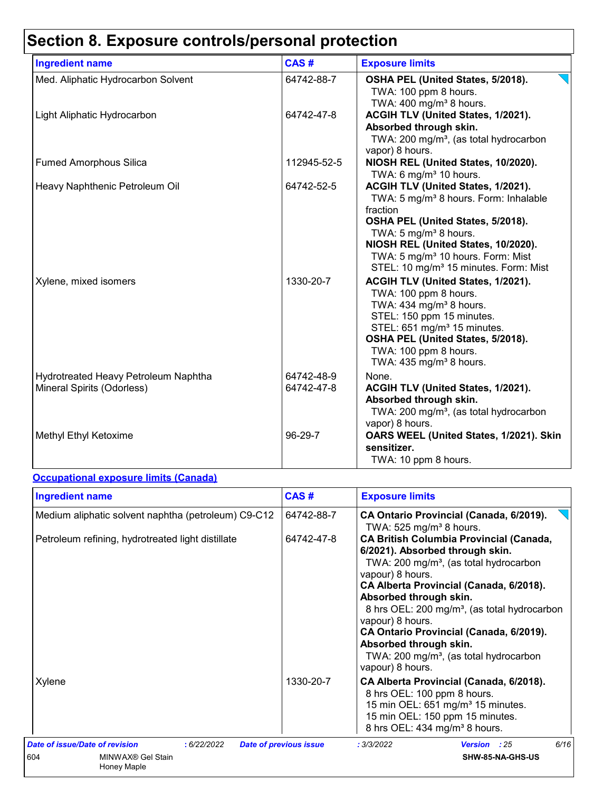# **Section 8. Exposure controls/personal protection**

| <b>Ingredient name</b>                                             | CAS#                     | <b>Exposure limits</b>                                                                                                                                                                                                                                                                                                     |
|--------------------------------------------------------------------|--------------------------|----------------------------------------------------------------------------------------------------------------------------------------------------------------------------------------------------------------------------------------------------------------------------------------------------------------------------|
| Med. Aliphatic Hydrocarbon Solvent                                 | 64742-88-7               | OSHA PEL (United States, 5/2018).<br>TWA: 100 ppm 8 hours.<br>TWA: 400 mg/m <sup>3</sup> 8 hours.                                                                                                                                                                                                                          |
| Light Aliphatic Hydrocarbon                                        | 64742-47-8               | ACGIH TLV (United States, 1/2021).<br>Absorbed through skin.<br>TWA: 200 mg/m <sup>3</sup> , (as total hydrocarbon<br>vapor) 8 hours.                                                                                                                                                                                      |
| <b>Fumed Amorphous Silica</b>                                      | 112945-52-5              | NIOSH REL (United States, 10/2020).<br>TWA: 6 mg/m <sup>3</sup> 10 hours.                                                                                                                                                                                                                                                  |
| Heavy Naphthenic Petroleum Oil                                     | 64742-52-5               | ACGIH TLV (United States, 1/2021).<br>TWA: 5 mg/m <sup>3</sup> 8 hours. Form: Inhalable<br>fraction<br>OSHA PEL (United States, 5/2018).<br>TWA: 5 mg/m <sup>3</sup> 8 hours.<br>NIOSH REL (United States, 10/2020).<br>TWA: 5 mg/m <sup>3</sup> 10 hours. Form: Mist<br>STEL: 10 mg/m <sup>3</sup> 15 minutes. Form: Mist |
| Xylene, mixed isomers                                              | 1330-20-7                | ACGIH TLV (United States, 1/2021).<br>TWA: 100 ppm 8 hours.<br>TWA: 434 mg/m <sup>3</sup> 8 hours.<br>STEL: 150 ppm 15 minutes.<br>STEL: 651 mg/m <sup>3</sup> 15 minutes.<br>OSHA PEL (United States, 5/2018).<br>TWA: 100 ppm 8 hours.<br>TWA: $435 \text{ mg/m}^3$ 8 hours.                                             |
| Hydrotreated Heavy Petroleum Naphtha<br>Mineral Spirits (Odorless) | 64742-48-9<br>64742-47-8 | None.<br>ACGIH TLV (United States, 1/2021).<br>Absorbed through skin.<br>TWA: 200 mg/m <sup>3</sup> , (as total hydrocarbon<br>vapor) 8 hours.                                                                                                                                                                             |
| Methyl Ethyl Ketoxime                                              | 96-29-7                  | OARS WEEL (United States, 1/2021). Skin<br>sensitizer.<br>TWA: 10 ppm 8 hours.                                                                                                                                                                                                                                             |

### **Occupational exposure limits (Canada)**

| <b>Ingredient name</b>                                                                  | CAS#                          | <b>Exposure limits</b>                                                                                                                                                                                                                                                                                                                                                                                                                                          |  |  |
|-----------------------------------------------------------------------------------------|-------------------------------|-----------------------------------------------------------------------------------------------------------------------------------------------------------------------------------------------------------------------------------------------------------------------------------------------------------------------------------------------------------------------------------------------------------------------------------------------------------------|--|--|
| Medium aliphatic solvent naphtha (petroleum) C9-C12                                     | 64742-88-7                    | CA Ontario Provincial (Canada, 6/2019).<br>TWA: $525$ mg/m <sup>3</sup> 8 hours.                                                                                                                                                                                                                                                                                                                                                                                |  |  |
| Petroleum refining, hydrotreated light distillate                                       | 64742-47-8                    | <b>CA British Columbia Provincial (Canada,</b><br>6/2021). Absorbed through skin.<br>TWA: 200 mg/m <sup>3</sup> , (as total hydrocarbon<br>vapour) 8 hours.<br>CA Alberta Provincial (Canada, 6/2018).<br>Absorbed through skin.<br>8 hrs OEL: 200 mg/m <sup>3</sup> , (as total hydrocarbon<br>vapour) 8 hours.<br>CA Ontario Provincial (Canada, 6/2019).<br>Absorbed through skin.<br>TWA: 200 mg/m <sup>3</sup> , (as total hydrocarbon<br>vapour) 8 hours. |  |  |
| Xylene                                                                                  | 1330-20-7                     | CA Alberta Provincial (Canada, 6/2018).<br>8 hrs OEL: 100 ppm 8 hours.<br>15 min OEL: 651 mg/m <sup>3</sup> 15 minutes.<br>15 min OEL: 150 ppm 15 minutes.<br>8 hrs OEL: 434 mg/m <sup>3</sup> 8 hours.                                                                                                                                                                                                                                                         |  |  |
| Date of issue/Date of revision<br>:6/22/2022<br>604<br>MINWAX® Gel Stain<br>Honey Maple | <b>Date of previous issue</b> | 6/16<br>: 3/3/2022<br><b>Version</b> : 25<br>SHW-85-NA-GHS-US                                                                                                                                                                                                                                                                                                                                                                                                   |  |  |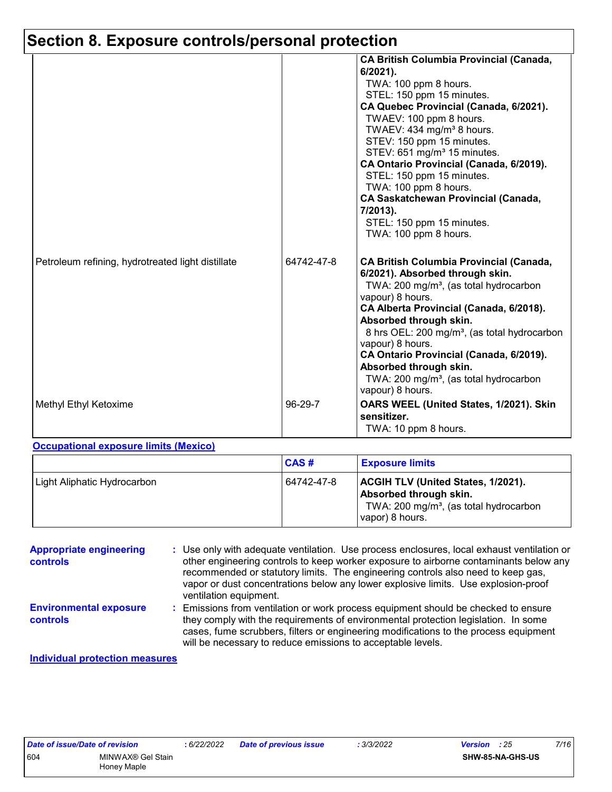### **Section 8. Exposure controls/personal protection**

|                                                   |            | <b>CA British Columbia Provincial (Canada,</b><br>$6/2021$ ).<br>TWA: 100 ppm 8 hours.<br>STEL: 150 ppm 15 minutes.<br>CA Quebec Provincial (Canada, 6/2021).<br>TWAEV: 100 ppm 8 hours.<br>TWAEV: 434 mg/m <sup>3</sup> 8 hours.<br>STEV: 150 ppm 15 minutes.<br>STEV: 651 mg/m <sup>3</sup> 15 minutes.<br>CA Ontario Provincial (Canada, 6/2019).<br>STEL: 150 ppm 15 minutes.<br>TWA: 100 ppm 8 hours.<br><b>CA Saskatchewan Provincial (Canada,</b><br>7/2013).<br>STEL: 150 ppm 15 minutes.<br>TWA: 100 ppm 8 hours. |
|---------------------------------------------------|------------|----------------------------------------------------------------------------------------------------------------------------------------------------------------------------------------------------------------------------------------------------------------------------------------------------------------------------------------------------------------------------------------------------------------------------------------------------------------------------------------------------------------------------|
| Petroleum refining, hydrotreated light distillate | 64742-47-8 | <b>CA British Columbia Provincial (Canada,</b><br>6/2021). Absorbed through skin.<br>TWA: 200 mg/m <sup>3</sup> , (as total hydrocarbon<br>vapour) 8 hours.<br>CA Alberta Provincial (Canada, 6/2018).<br>Absorbed through skin.<br>8 hrs OEL: 200 mg/m <sup>3</sup> , (as total hydrocarbon<br>vapour) 8 hours.<br>CA Ontario Provincial (Canada, 6/2019).<br>Absorbed through skin.<br>TWA: 200 mg/m <sup>3</sup> , (as total hydrocarbon<br>vapour) 8 hours.                                                            |
| Methyl Ethyl Ketoxime                             | 96-29-7    | OARS WEEL (United States, 1/2021). Skin<br>sensitizer.<br>TWA: 10 ppm 8 hours.                                                                                                                                                                                                                                                                                                                                                                                                                                             |

#### **Occupational exposure limits (Mexico)**

|                             | CAS#       | <b>Exposure limits</b>                                                                                                                       |
|-----------------------------|------------|----------------------------------------------------------------------------------------------------------------------------------------------|
| Light Aliphatic Hydrocarbon | 64742-47-8 | <b>ACGIH TLV (United States, 1/2021).</b><br>Absorbed through skin.<br>TWA: 200 mg/m <sup>3</sup> , (as total hydrocarbon<br>vapor) 8 hours. |

| <b>Appropriate engineering</b><br><b>controls</b> | : Use only with adequate ventilation. Use process enclosures, local exhaust ventilation or<br>other engineering controls to keep worker exposure to airborne contaminants below any<br>recommended or statutory limits. The engineering controls also need to keep gas,<br>vapor or dust concentrations below any lower explosive limits. Use explosion-proof<br>ventilation equipment. |
|---------------------------------------------------|-----------------------------------------------------------------------------------------------------------------------------------------------------------------------------------------------------------------------------------------------------------------------------------------------------------------------------------------------------------------------------------------|
| <b>Environmental exposure</b><br><b>controls</b>  | : Emissions from ventilation or work process equipment should be checked to ensure<br>they comply with the requirements of environmental protection legislation. In some<br>cases, fume scrubbers, filters or engineering modifications to the process equipment<br>will be necessary to reduce emissions to acceptable levels.                                                         |

#### **Individual protection measures**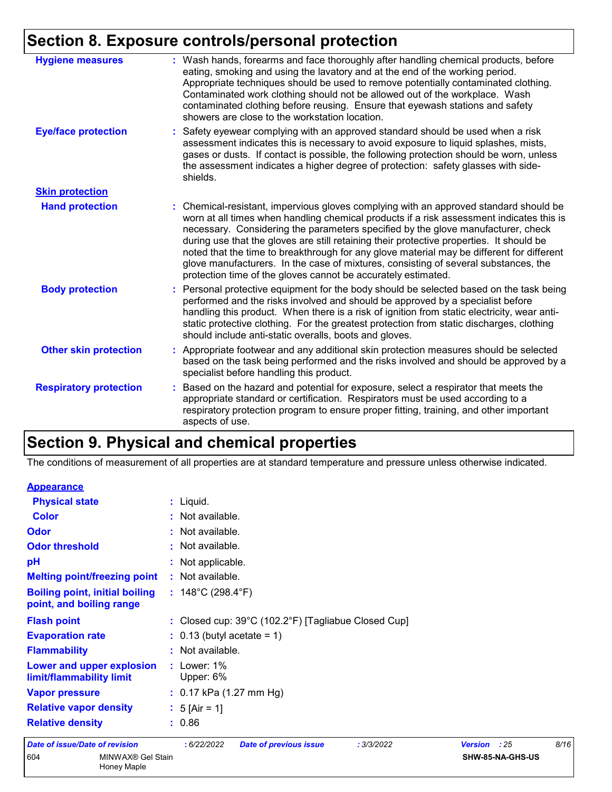# **Section 8. Exposure controls/personal protection**

| <b>Hygiene measures</b>       | : Wash hands, forearms and face thoroughly after handling chemical products, before<br>eating, smoking and using the lavatory and at the end of the working period.<br>Appropriate techniques should be used to remove potentially contaminated clothing.<br>Contaminated work clothing should not be allowed out of the workplace. Wash<br>contaminated clothing before reusing. Ensure that eyewash stations and safety<br>showers are close to the workstation location.                                                                                                                                            |
|-------------------------------|------------------------------------------------------------------------------------------------------------------------------------------------------------------------------------------------------------------------------------------------------------------------------------------------------------------------------------------------------------------------------------------------------------------------------------------------------------------------------------------------------------------------------------------------------------------------------------------------------------------------|
| <b>Eye/face protection</b>    | : Safety eyewear complying with an approved standard should be used when a risk<br>assessment indicates this is necessary to avoid exposure to liquid splashes, mists,<br>gases or dusts. If contact is possible, the following protection should be worn, unless<br>the assessment indicates a higher degree of protection: safety glasses with side-<br>shields.                                                                                                                                                                                                                                                     |
| <b>Skin protection</b>        |                                                                                                                                                                                                                                                                                                                                                                                                                                                                                                                                                                                                                        |
| <b>Hand protection</b>        | : Chemical-resistant, impervious gloves complying with an approved standard should be<br>worn at all times when handling chemical products if a risk assessment indicates this is<br>necessary. Considering the parameters specified by the glove manufacturer, check<br>during use that the gloves are still retaining their protective properties. It should be<br>noted that the time to breakthrough for any glove material may be different for different<br>glove manufacturers. In the case of mixtures, consisting of several substances, the<br>protection time of the gloves cannot be accurately estimated. |
| <b>Body protection</b>        | : Personal protective equipment for the body should be selected based on the task being<br>performed and the risks involved and should be approved by a specialist before<br>handling this product. When there is a risk of ignition from static electricity, wear anti-<br>static protective clothing. For the greatest protection from static discharges, clothing<br>should include anti-static overalls, boots and gloves.                                                                                                                                                                                         |
| <b>Other skin protection</b>  | : Appropriate footwear and any additional skin protection measures should be selected<br>based on the task being performed and the risks involved and should be approved by a<br>specialist before handling this product.                                                                                                                                                                                                                                                                                                                                                                                              |
| <b>Respiratory protection</b> | : Based on the hazard and potential for exposure, select a respirator that meets the<br>appropriate standard or certification. Respirators must be used according to a<br>respiratory protection program to ensure proper fitting, training, and other important<br>aspects of use.                                                                                                                                                                                                                                                                                                                                    |

### **Section 9. Physical and chemical properties**

The conditions of measurement of all properties are at standard temperature and pressure unless otherwise indicated.

| $\sim$ $\sim$<br><b>MAIN BALANCE OF LOL.</b>                      |                                                           | ALBU AF MA ALIA UA |              |
|-------------------------------------------------------------------|-----------------------------------------------------------|--------------------|--------------|
| <b>Date of issue/Date of revision</b>                             | :6/22/2022<br><b>Date of previous issue</b><br>: 3/3/2022 | <b>Version</b>     | 8/16<br>: 25 |
| <b>Relative density</b>                                           | : 0.86                                                    |                    |              |
| <b>Relative vapor density</b>                                     | : $5 \text{ [Air} = 1]$                                   |                    |              |
| <b>Vapor pressure</b>                                             | $: 0.17$ kPa (1.27 mm Hg)                                 |                    |              |
| Lower and upper explosion<br>limit/flammability limit             | $:$ Lower: 1%<br>Upper: 6%                                |                    |              |
| <b>Flammability</b>                                               | : Not available.                                          |                    |              |
| <b>Evaporation rate</b>                                           | $: 0.13$ (butyl acetate = 1)                              |                    |              |
| <b>Flash point</b>                                                | : Closed cup: 39°C (102.2°F) [Tagliabue Closed Cup]       |                    |              |
| <b>Boiling point, initial boiling</b><br>point, and boiling range | : $148^{\circ}$ C (298.4 $^{\circ}$ F)                    |                    |              |
| <b>Melting point/freezing point</b>                               | : Not available.                                          |                    |              |
| pH                                                                | : Not applicable.                                         |                    |              |
| <b>Odor threshold</b>                                             | : Not available.                                          |                    |              |
| Odor                                                              | : Not available.                                          |                    |              |
| <b>Color</b>                                                      | : Not available.                                          |                    |              |
| <b>Physical state</b>                                             | $:$ Liquid.                                               |                    |              |
| <b>Appearance</b>                                                 |                                                           |                    |              |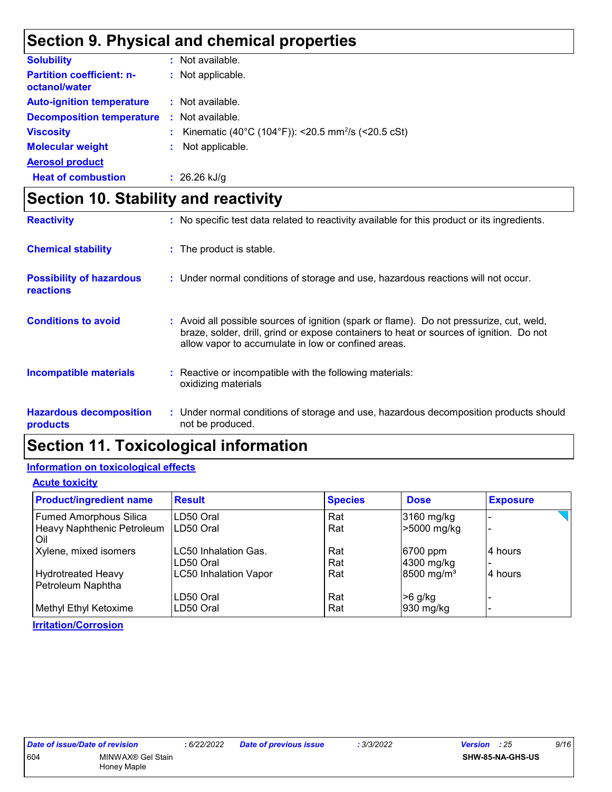### **Section 9. Physical and chemical properties**

| <b>Solubility</b>                                 |    | : Not available.                                               |
|---------------------------------------------------|----|----------------------------------------------------------------|
| <b>Partition coefficient: n-</b><br>octanol/water |    | : Not applicable.                                              |
| <b>Auto-ignition temperature</b>                  |    | : Not available.                                               |
| <b>Decomposition temperature</b>                  | ÷. | Not available.                                                 |
| <b>Viscosity</b>                                  |    | Kinematic (40°C (104°F)): <20.5 mm <sup>2</sup> /s (<20.5 cSt) |
| <b>Molecular weight</b>                           |    | Not applicable.                                                |
| <b>Aerosol product</b>                            |    |                                                                |
| <b>Heat of combustion</b>                         |    | : $26.26$ kJ/g                                                 |

### **Section 10. Stability and reactivity**

| <b>Reactivity</b>                                   | : No specific test data related to reactivity available for this product or its ingredients.                                                                                                                                               |
|-----------------------------------------------------|--------------------------------------------------------------------------------------------------------------------------------------------------------------------------------------------------------------------------------------------|
| <b>Chemical stability</b>                           | : The product is stable.                                                                                                                                                                                                                   |
| <b>Possibility of hazardous</b><br><b>reactions</b> | : Under normal conditions of storage and use, hazardous reactions will not occur.                                                                                                                                                          |
| <b>Conditions to avoid</b>                          | : Avoid all possible sources of ignition (spark or flame). Do not pressurize, cut, weld,<br>braze, solder, drill, grind or expose containers to heat or sources of ignition. Do not<br>allow vapor to accumulate in low or confined areas. |
| <b>Incompatible materials</b>                       | : Reactive or incompatible with the following materials:<br>oxidizing materials                                                                                                                                                            |
| <b>Hazardous decomposition</b><br><b>products</b>   | : Under normal conditions of storage and use, hazardous decomposition products should<br>not be produced.                                                                                                                                  |

### **Section 11. Toxicological information**

#### **Information on toxicological effects**

#### **Acute toxicity**

| <b>Product/ingredient name</b>                 | <b>Result</b>                | <b>Species</b> | <b>Dose</b>              | <b>Exposure</b> |
|------------------------------------------------|------------------------------|----------------|--------------------------|-----------------|
| <b>Fumed Amorphous Silica</b>                  | LD50 Oral                    | Rat            | 3160 mg/kg               |                 |
| Heavy Naphthenic Petroleum<br>Oil              | LD50 Oral                    | Rat            | >5000 mg/kg              |                 |
| Xylene, mixed isomers                          | LC50 Inhalation Gas.         | Rat            | 6700 ppm                 | 4 hours         |
|                                                | LD50 Oral                    | Rat            | 4300 mg/kg               |                 |
| <b>Hydrotreated Heavy</b><br>Petroleum Naphtha | <b>LC50 Inhalation Vapor</b> | Rat            | $8500$ mg/m <sup>3</sup> | 4 hours         |
|                                                | LD50 Oral                    | Rat            | $>6$ g/kg                |                 |
| Methyl Ethyl Ketoxime                          | LD50 Oral                    | Rat            | 930 mg/kg                |                 |
| <b>Irritation/Corrosion</b>                    |                              |                |                          |                 |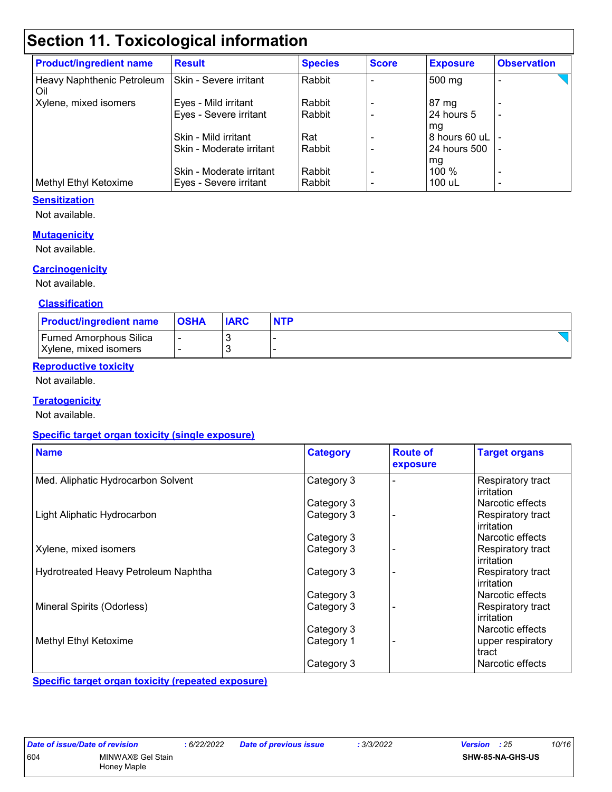### **Section 11. Toxicological information**

| <b>Product/ingredient name</b>    | <b>Result</b>            | <b>Species</b> | <b>Score</b> | <b>Exposure</b> | <b>Observation</b>       |
|-----------------------------------|--------------------------|----------------|--------------|-----------------|--------------------------|
| Heavy Naphthenic Petroleum<br>Oil | Skin - Severe irritant   | Rabbit         |              | 500 mg          |                          |
| Xylene, mixed isomers             | Eyes - Mild irritant     | Rabbit         |              | $87 \text{ mg}$ |                          |
|                                   | Eyes - Severe irritant   | Rabbit         |              | 24 hours 5      |                          |
|                                   |                          |                |              | mg              |                          |
|                                   | Skin - Mild irritant     | Rat            |              | 8 hours 60 uL   |                          |
|                                   | Skin - Moderate irritant | Rabbit         |              | 24 hours 500    |                          |
|                                   |                          |                |              | mg              |                          |
|                                   | Skin - Moderate irritant | Rabbit         |              | $100\%$         | $\overline{\phantom{0}}$ |
| Methyl Ethyl Ketoxime             | Eyes - Severe irritant   | Rabbit         |              | 100 uL          | $\overline{\phantom{0}}$ |

#### **Sensitization**

Not available.

#### **Mutagenicity**

Not available.

#### **Carcinogenicity**

Not available.

#### **Classification**

| <b>Product/ingredient name</b>                         | <b>OSHA</b> | <b>IARC</b> | <b>NTP</b> |
|--------------------------------------------------------|-------------|-------------|------------|
| <b>Fumed Amorphous Silica</b><br>Xylene, mixed isomers |             |             |            |

#### **Reproductive toxicity**

Not available.

#### **Teratogenicity**

Not available.

#### **Specific target organ toxicity (single exposure)**

| <b>Name</b>                          | <b>Category</b> | <b>Route of</b><br>exposure | <b>Target organs</b>            |
|--------------------------------------|-----------------|-----------------------------|---------------------------------|
| Med. Aliphatic Hydrocarbon Solvent   | Category 3      |                             | Respiratory tract<br>irritation |
|                                      | Category 3      |                             | Narcotic effects                |
| Light Aliphatic Hydrocarbon          | Category 3      |                             | Respiratory tract<br>irritation |
|                                      | Category 3      |                             | Narcotic effects                |
| Xylene, mixed isomers                | Category 3      |                             | Respiratory tract<br>irritation |
| Hydrotreated Heavy Petroleum Naphtha | Category 3      |                             | Respiratory tract<br>irritation |
|                                      | Category 3      |                             | Narcotic effects                |
| Mineral Spirits (Odorless)           | Category 3      |                             | Respiratory tract<br>irritation |
|                                      | Category 3      |                             | Narcotic effects                |
| Methyl Ethyl Ketoxime                | Category 1      |                             | upper respiratory<br>tract      |
|                                      | Category 3      |                             | Narcotic effects                |

**Specific target organ toxicity (repeated exposure)**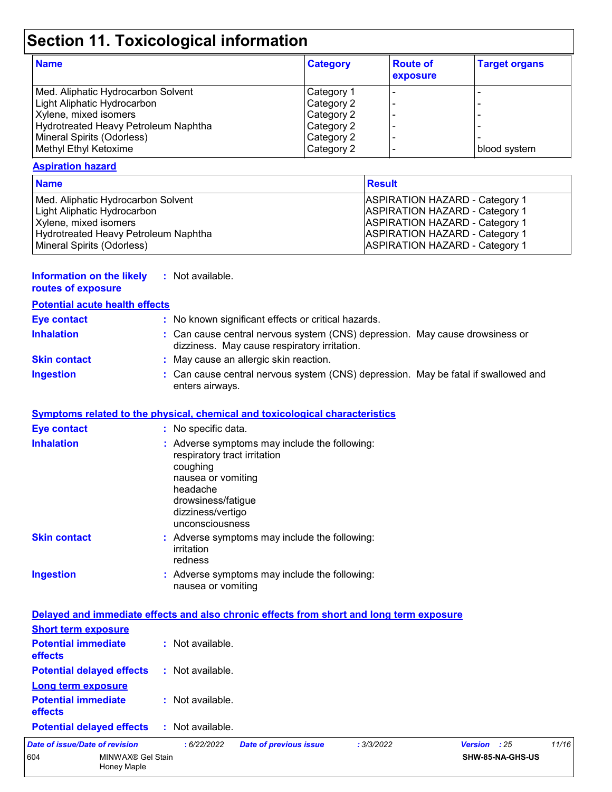# **Section 11. Toxicological information**

| <b>Name</b>                          | <b>Category</b> | <b>Route of</b><br>exposure | <b>Target organs</b> |
|--------------------------------------|-----------------|-----------------------------|----------------------|
| Med. Aliphatic Hydrocarbon Solvent   | Category 1      |                             |                      |
| Light Aliphatic Hydrocarbon          | Category 2      |                             |                      |
| Xylene, mixed isomers                | Category 2      |                             |                      |
| Hydrotreated Heavy Petroleum Naphtha | Category 2      |                             |                      |
| Mineral Spirits (Odorless)           | Category 2      |                             |                      |
| Methyl Ethyl Ketoxime                | Category 2      |                             | blood system         |

#### **Aspiration hazard**

| <b>Name</b>                          | <b>Result</b>                         |
|--------------------------------------|---------------------------------------|
| Med. Aliphatic Hydrocarbon Solvent   | <b>ASPIRATION HAZARD - Category 1</b> |
| Light Aliphatic Hydrocarbon          | <b>ASPIRATION HAZARD - Category 1</b> |
| Xylene, mixed isomers                | <b>ASPIRATION HAZARD - Category 1</b> |
| Hydrotreated Heavy Petroleum Naphtha | <b>ASPIRATION HAZARD - Category 1</b> |
| Mineral Spirits (Odorless)           | <b>ASPIRATION HAZARD - Category 1</b> |

| <b>Information on the likely</b> | : Not available. |
|----------------------------------|------------------|
| routes of exposure               |                  |

| <b>Potential acute health effects</b> |                                                                                                                              |
|---------------------------------------|------------------------------------------------------------------------------------------------------------------------------|
| Eye contact                           | : No known significant effects or critical hazards.                                                                          |
| <b>Inhalation</b>                     | : Can cause central nervous system (CNS) depression. May cause drowsiness or<br>dizziness. May cause respiratory irritation. |
| <b>Skin contact</b>                   | : May cause an allergic skin reaction.                                                                                       |
| <b>Ingestion</b>                      | : Can cause central nervous system (CNS) depression. May be fatal if swallowed and<br>enters airways.                        |

#### **Symptoms related to the physical, chemical and toxicological characteristics**

| Eye contact                                                        | : No specific data.                                                                                                                                                                       |
|--------------------------------------------------------------------|-------------------------------------------------------------------------------------------------------------------------------------------------------------------------------------------|
| <b>Inhalation</b>                                                  | : Adverse symptoms may include the following:<br>respiratory tract irritation<br>coughing<br>nausea or vomiting<br>headache<br>drowsiness/fatigue<br>dizziness/vertigo<br>unconsciousness |
| <b>Skin contact</b>                                                | : Adverse symptoms may include the following:<br>irritation<br>redness                                                                                                                    |
| <b>Ingestion</b>                                                   | : Adverse symptoms may include the following:<br>nausea or vomiting                                                                                                                       |
|                                                                    | Delayed and immediate effects and also chronic effects from short and long term exposure                                                                                                  |
| <b>Short term exposure</b>                                         |                                                                                                                                                                                           |
| <b>Potential immediate</b><br>effects                              | : Not available.                                                                                                                                                                          |
| <b>Potential delayed effects : Not available.</b>                  |                                                                                                                                                                                           |
| <b>Long term exposure</b><br><b>Potential immediate</b><br>effects | : Not available.                                                                                                                                                                          |

**Potential delayed effects :** Not available.

|     | Date of issue/Date of revision | : 6/22/2022 | <b>Date of previous issue</b> | : 3/3/2022 | <b>Version</b> : 25     | 11/16 |
|-----|--------------------------------|-------------|-------------------------------|------------|-------------------------|-------|
| 604 | MINWAX® Gel Stain              |             |                               |            | <b>SHW-85-NA-GHS-US</b> |       |
|     | Honev Maple                    |             |                               |            |                         |       |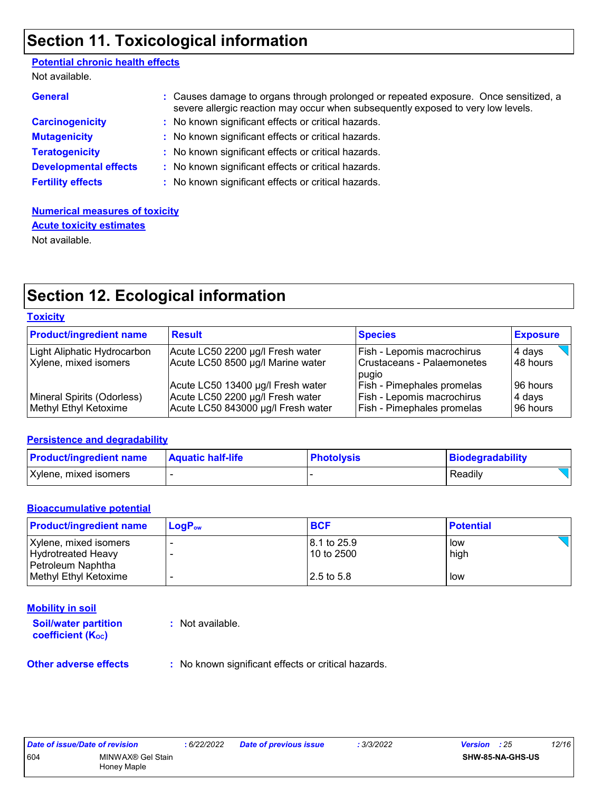### **Section 11. Toxicological information**

#### Not available. **Potential chronic health effects**

| <u>ivul avaliable.</u>       |                                                                                                                                                                          |
|------------------------------|--------------------------------------------------------------------------------------------------------------------------------------------------------------------------|
| <b>General</b>               | : Causes damage to organs through prolonged or repeated exposure. Once sensitized, a<br>severe allergic reaction may occur when subsequently exposed to very low levels. |
| <b>Carcinogenicity</b>       | : No known significant effects or critical hazards.                                                                                                                      |
| <b>Mutagenicity</b>          | : No known significant effects or critical hazards.                                                                                                                      |
| <b>Teratogenicity</b>        | : No known significant effects or critical hazards.                                                                                                                      |
| <b>Developmental effects</b> | : No known significant effects or critical hazards.                                                                                                                      |
| <b>Fertility effects</b>     | : No known significant effects or critical hazards.                                                                                                                      |
|                              |                                                                                                                                                                          |

#### **Numerical measures of toxicity** Not available. **Acute toxicity estimates**

### **Section 12. Ecological information**

| Toxicitv |
|----------|
|----------|

| <b>Product/ingredient name</b> | <b>Result</b>                      | <b>Species</b>                      | <b>Exposure</b> |
|--------------------------------|------------------------------------|-------------------------------------|-----------------|
| Light Aliphatic Hydrocarbon    | Acute LC50 2200 µg/l Fresh water   | Fish - Lepomis macrochirus          | 4 days          |
| Xylene, mixed isomers          | Acute LC50 8500 µg/l Marine water  | Crustaceans - Palaemonetes<br>pugio | 48 hours        |
|                                | Acute LC50 13400 µg/l Fresh water  | <b>Fish - Pimephales promelas</b>   | 196 hours       |
| Mineral Spirits (Odorless)     | Acute LC50 2200 µg/l Fresh water   | Fish - Lepomis macrochirus          | 4 days          |
| Methyl Ethyl Ketoxime          | Acute LC50 843000 µg/l Fresh water | <b>Fish - Pimephales promelas</b>   | 196 hours       |

#### **Persistence and degradability**

| <b>Product/ingredient name</b> | <b>Aquatic half-life</b> | <b>Photolysis</b> | Biodegradability |
|--------------------------------|--------------------------|-------------------|------------------|
| Xylene, mixed isomers          |                          |                   | Readily          |

#### **Bioaccumulative potential**

| <b>Product/ingredient name</b> | ⊺LoɑP <sub>ow</sub> | <b>BCF</b>  | <b>Potential</b> |
|--------------------------------|---------------------|-------------|------------------|
| Xylene, mixed isomers          |                     | 8.1 to 25.9 | low              |
| <b>Hydrotreated Heavy</b>      |                     | 10 to 2500  | high             |
| Petroleum Naphtha              |                     |             |                  |
| Methyl Ethyl Ketoxime          |                     | 2.5 to 5.8  | low              |

#### **Mobility in soil**

**Soil/water partition coefficient (KOC) :** Not available.

**Other adverse effects** : No known significant effects or critical hazards.

| Date of issue/Date of revision |                   | : 6/22/2022 | <b>Date of previous issue</b> | : 3/3/2022 | <b>Version</b> : 25 |                         | 12/16 |
|--------------------------------|-------------------|-------------|-------------------------------|------------|---------------------|-------------------------|-------|
| 604                            | MINWAX® Gel Stain |             |                               |            |                     | <b>SHW-85-NA-GHS-US</b> |       |
|                                | Honey Maple       |             |                               |            |                     |                         |       |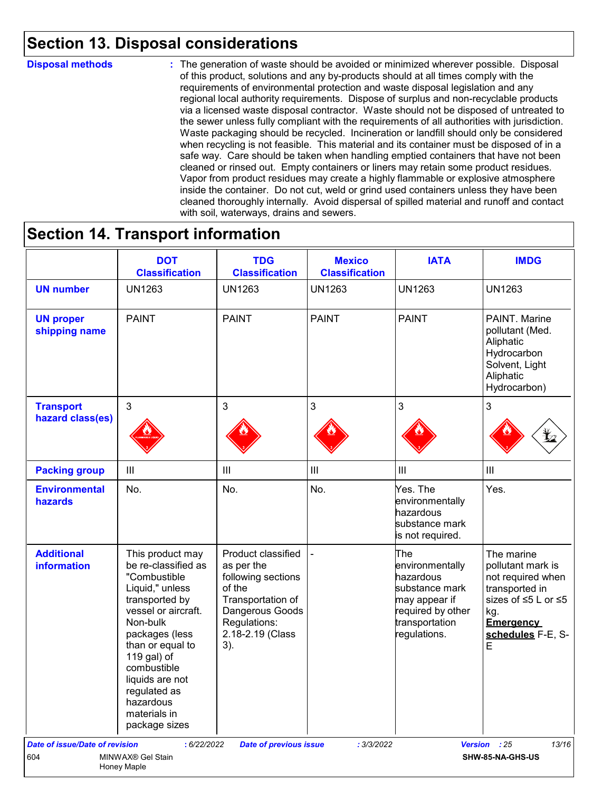### **Section 13. Disposal considerations**

#### **Disposal methods :**

The generation of waste should be avoided or minimized wherever possible. Disposal of this product, solutions and any by-products should at all times comply with the requirements of environmental protection and waste disposal legislation and any regional local authority requirements. Dispose of surplus and non-recyclable products via a licensed waste disposal contractor. Waste should not be disposed of untreated to the sewer unless fully compliant with the requirements of all authorities with jurisdiction. Waste packaging should be recycled. Incineration or landfill should only be considered when recycling is not feasible. This material and its container must be disposed of in a safe way. Care should be taken when handling emptied containers that have not been cleaned or rinsed out. Empty containers or liners may retain some product residues. Vapor from product residues may create a highly flammable or explosive atmosphere inside the container. Do not cut, weld or grind used containers unless they have been cleaned thoroughly internally. Avoid dispersal of spilled material and runoff and contact with soil, waterways, drains and sewers.

### **Section 14. Transport information**

|                                         | <b>DOT</b><br><b>Classification</b>                                                                                                                                                                                                                                                  | <b>TDG</b><br><b>Classification</b>                                                                                                                 | <b>Mexico</b><br><b>Classification</b> | <b>IATA</b>                                                                                                                   | <b>IMDG</b>                                                                                                                                        |
|-----------------------------------------|--------------------------------------------------------------------------------------------------------------------------------------------------------------------------------------------------------------------------------------------------------------------------------------|-----------------------------------------------------------------------------------------------------------------------------------------------------|----------------------------------------|-------------------------------------------------------------------------------------------------------------------------------|----------------------------------------------------------------------------------------------------------------------------------------------------|
| <b>UN number</b>                        | <b>UN1263</b>                                                                                                                                                                                                                                                                        | <b>UN1263</b>                                                                                                                                       | <b>UN1263</b>                          | <b>UN1263</b>                                                                                                                 | <b>UN1263</b>                                                                                                                                      |
| <b>UN proper</b><br>shipping name       | <b>PAINT</b>                                                                                                                                                                                                                                                                         | <b>PAINT</b>                                                                                                                                        | <b>PAINT</b>                           | <b>PAINT</b>                                                                                                                  | PAINT. Marine<br>pollutant (Med.<br>Aliphatic<br>Hydrocarbon<br>Solvent, Light<br>Aliphatic<br>Hydrocarbon)                                        |
| <b>Transport</b><br>hazard class(es)    | $\mathbf{3}$                                                                                                                                                                                                                                                                         | 3                                                                                                                                                   | $\mathfrak{S}$                         | 3                                                                                                                             | 3                                                                                                                                                  |
| <b>Packing group</b>                    | $\mathop{\rm III}$                                                                                                                                                                                                                                                                   | Ш                                                                                                                                                   | $\ensuremath{\mathsf{III}}\xspace$     | $\mathbf{III}$                                                                                                                | III                                                                                                                                                |
| <b>Environmental</b><br>hazards         | No.                                                                                                                                                                                                                                                                                  | No.                                                                                                                                                 | No.                                    | Yes. The<br>environmentally<br>hazardous<br>substance mark<br>is not required.                                                | Yes.                                                                                                                                               |
| <b>Additional</b><br><b>information</b> | This product may<br>be re-classified as<br>"Combustible<br>Liquid," unless<br>transported by<br>vessel or aircraft.<br>Non-bulk<br>packages (less<br>than or equal to<br>119 gal) of<br>combustible<br>liquids are not<br>regulated as<br>hazardous<br>materials in<br>package sizes | Product classified<br>as per the<br>following sections<br>of the<br>Transportation of<br>Dangerous Goods<br>Regulations:<br>2.18-2.19 (Class<br>3). |                                        | The<br>environmentally<br>hazardous<br>substance mark<br>may appear if<br>required by other<br>transportation<br>regulations. | The marine<br>pollutant mark is<br>not required when<br>transported in<br>sizes of ≤5 L or ≤5<br>kg.<br><b>Emergency</b><br>schedules F-E, S-<br>E |
| <b>Date of issue/Date of revision</b>   | : 6/22/2022                                                                                                                                                                                                                                                                          | <b>Date of previous issue</b>                                                                                                                       | : 3/3/2022                             |                                                                                                                               | Version : 25<br>13/16                                                                                                                              |
| 604                                     | MINWAX® Gel Stain<br>Honey Maple                                                                                                                                                                                                                                                     |                                                                                                                                                     |                                        |                                                                                                                               | SHW-85-NA-GHS-US                                                                                                                                   |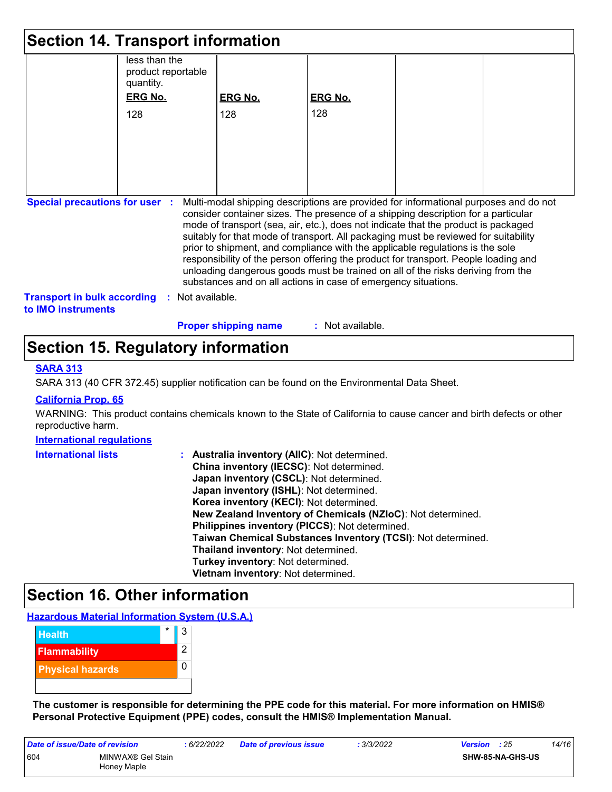| <b>Section 14. Transport information</b>                                                                                                                                                                                                                                                                                                                                                                                                                                                                                                                                                                                                                                                                                     |                                                  |                             |                  |  |  |
|------------------------------------------------------------------------------------------------------------------------------------------------------------------------------------------------------------------------------------------------------------------------------------------------------------------------------------------------------------------------------------------------------------------------------------------------------------------------------------------------------------------------------------------------------------------------------------------------------------------------------------------------------------------------------------------------------------------------------|--------------------------------------------------|-----------------------------|------------------|--|--|
|                                                                                                                                                                                                                                                                                                                                                                                                                                                                                                                                                                                                                                                                                                                              | less than the<br>product reportable<br>quantity. |                             |                  |  |  |
|                                                                                                                                                                                                                                                                                                                                                                                                                                                                                                                                                                                                                                                                                                                              | <b>ERG No.</b>                                   | <b>ERG No.</b>              | <b>ERG No.</b>   |  |  |
|                                                                                                                                                                                                                                                                                                                                                                                                                                                                                                                                                                                                                                                                                                                              | 128                                              | 128                         | 128              |  |  |
|                                                                                                                                                                                                                                                                                                                                                                                                                                                                                                                                                                                                                                                                                                                              |                                                  |                             |                  |  |  |
|                                                                                                                                                                                                                                                                                                                                                                                                                                                                                                                                                                                                                                                                                                                              |                                                  |                             |                  |  |  |
|                                                                                                                                                                                                                                                                                                                                                                                                                                                                                                                                                                                                                                                                                                                              |                                                  |                             |                  |  |  |
|                                                                                                                                                                                                                                                                                                                                                                                                                                                                                                                                                                                                                                                                                                                              |                                                  |                             |                  |  |  |
|                                                                                                                                                                                                                                                                                                                                                                                                                                                                                                                                                                                                                                                                                                                              |                                                  |                             |                  |  |  |
| Multi-modal shipping descriptions are provided for informational purposes and do not<br><b>Special precautions for user :</b><br>consider container sizes. The presence of a shipping description for a particular<br>mode of transport (sea, air, etc.), does not indicate that the product is packaged<br>suitably for that mode of transport. All packaging must be reviewed for suitability<br>prior to shipment, and compliance with the applicable regulations is the sole<br>responsibility of the person offering the product for transport. People loading and<br>unloading dangerous goods must be trained on all of the risks deriving from the<br>substances and on all actions in case of emergency situations. |                                                  |                             |                  |  |  |
| <b>Transport in bulk according</b><br>to IMO instruments                                                                                                                                                                                                                                                                                                                                                                                                                                                                                                                                                                                                                                                                     | : Not available.                                 |                             |                  |  |  |
|                                                                                                                                                                                                                                                                                                                                                                                                                                                                                                                                                                                                                                                                                                                              |                                                  | <b>Proper shipping name</b> | : Not available. |  |  |

### **Section 15. Regulatory information**

#### **SARA 313**

SARA 313 (40 CFR 372.45) supplier notification can be found on the Environmental Data Sheet.

#### **California Prop. 65**

WARNING: This product contains chemicals known to the State of California to cause cancer and birth defects or other reproductive harm.

#### **International regulations**

| <b>International lists</b> | <b>Australia inventory (AIIC): Not determined.</b>           |
|----------------------------|--------------------------------------------------------------|
|                            | China inventory (IECSC): Not determined.                     |
|                            | Japan inventory (CSCL): Not determined.                      |
|                            | Japan inventory (ISHL): Not determined.                      |
|                            | Korea inventory (KECI): Not determined.                      |
|                            | New Zealand Inventory of Chemicals (NZIoC): Not determined.  |
|                            | Philippines inventory (PICCS): Not determined.               |
|                            | Taiwan Chemical Substances Inventory (TCSI): Not determined. |
|                            | Thailand inventory: Not determined.                          |
|                            | Turkey inventory: Not determined.                            |
|                            | Vietnam inventory: Not determined.                           |

### **Section 16. Other information**

**Hazardous Material Information System (U.S.A.)**

| <b>Health</b>           | $\star$ | 3 |
|-------------------------|---------|---|
| <b>Flammability</b>     |         | 2 |
| <b>Physical hazards</b> |         |   |
|                         |         |   |

**The customer is responsible for determining the PPE code for this material. For more information on HMIS® Personal Protective Equipment (PPE) codes, consult the HMIS® Implementation Manual.**

| Date of issue/Date of revision |                                  | : 6/22/2022 | <b>Date of previous issue</b> | : 3/3/2022 | Version : 25 |                         | 14/16 |
|--------------------------------|----------------------------------|-------------|-------------------------------|------------|--------------|-------------------------|-------|
| 604                            | MINWAX® Gel Stain<br>Honey Maple |             |                               |            |              | <b>SHW-85-NA-GHS-US</b> |       |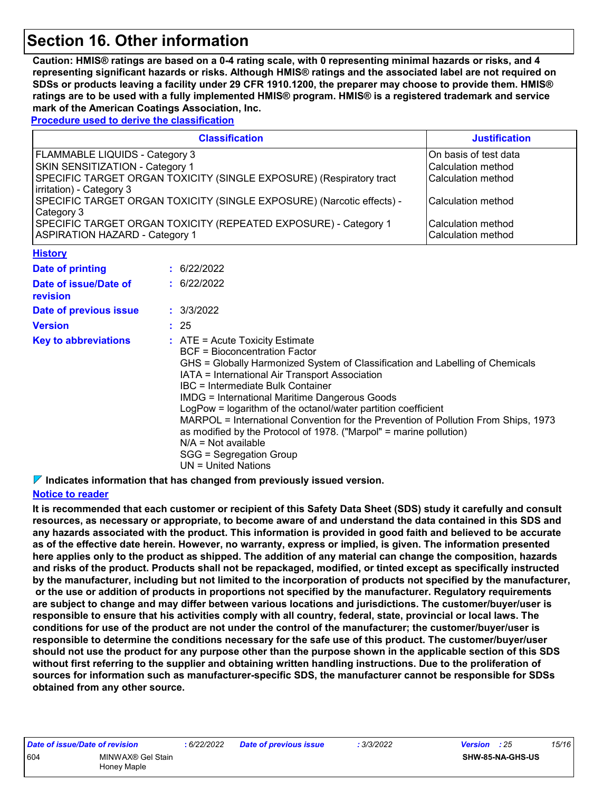### **Section 16. Other information**

**Caution: HMIS® ratings are based on a 0-4 rating scale, with 0 representing minimal hazards or risks, and 4 representing significant hazards or risks. Although HMIS® ratings and the associated label are not required on SDSs or products leaving a facility under 29 CFR 1910.1200, the preparer may choose to provide them. HMIS® ratings are to be used with a fully implemented HMIS® program. HMIS® is a registered trademark and service mark of the American Coatings Association, Inc.**

**Procedure used to derive the classification**

| <b>Classification</b>                                                 | <b>Justification</b>  |
|-----------------------------------------------------------------------|-----------------------|
| <b>FLAMMABLE LIQUIDS - Category 3</b>                                 | On basis of test data |
| SKIN SENSITIZATION - Category 1                                       | Calculation method    |
| SPECIFIC TARGET ORGAN TOXICITY (SINGLE EXPOSURE) (Respiratory tract   | Calculation method    |
| irritation) - Category 3                                              |                       |
| SPECIFIC TARGET ORGAN TOXICITY (SINGLE EXPOSURE) (Narcotic effects) - | Calculation method    |
| Category 3                                                            |                       |
| SPECIFIC TARGET ORGAN TOXICITY (REPEATED EXPOSURE) - Category 1       | Calculation method    |
| <b>ASPIRATION HAZARD - Category 1</b>                                 | Calculation method    |
| <b>History</b>                                                        |                       |

| Date of printing                  | : 6/22/2022                                                                                                                                                                                                                                                                                                                                                                                                                                                                                                                                                                                                    |
|-----------------------------------|----------------------------------------------------------------------------------------------------------------------------------------------------------------------------------------------------------------------------------------------------------------------------------------------------------------------------------------------------------------------------------------------------------------------------------------------------------------------------------------------------------------------------------------------------------------------------------------------------------------|
| Date of issue/Date of<br>revision | : 6/22/2022                                                                                                                                                                                                                                                                                                                                                                                                                                                                                                                                                                                                    |
| Date of previous issue            | : 3/3/2022                                                                                                                                                                                                                                                                                                                                                                                                                                                                                                                                                                                                     |
| <b>Version</b>                    | : 25                                                                                                                                                                                                                                                                                                                                                                                                                                                                                                                                                                                                           |
| <b>Key to abbreviations</b>       | $\therefore$ ATE = Acute Toxicity Estimate<br>BCF = Bioconcentration Factor<br>GHS = Globally Harmonized System of Classification and Labelling of Chemicals<br>IATA = International Air Transport Association<br>IBC = Intermediate Bulk Container<br>IMDG = International Maritime Dangerous Goods<br>LogPow = logarithm of the octanol/water partition coefficient<br>MARPOL = International Convention for the Prevention of Pollution From Ships, 1973<br>as modified by the Protocol of 1978. ("Marpol" = marine pollution)<br>$N/A = Not available$<br>SGG = Segregation Group<br>$UN = United Nations$ |

**Indicates information that has changed from previously issued version.**

#### **Notice to reader**

**It is recommended that each customer or recipient of this Safety Data Sheet (SDS) study it carefully and consult resources, as necessary or appropriate, to become aware of and understand the data contained in this SDS and any hazards associated with the product. This information is provided in good faith and believed to be accurate as of the effective date herein. However, no warranty, express or implied, is given. The information presented here applies only to the product as shipped. The addition of any material can change the composition, hazards and risks of the product. Products shall not be repackaged, modified, or tinted except as specifically instructed by the manufacturer, including but not limited to the incorporation of products not specified by the manufacturer, or the use or addition of products in proportions not specified by the manufacturer. Regulatory requirements are subject to change and may differ between various locations and jurisdictions. The customer/buyer/user is responsible to ensure that his activities comply with all country, federal, state, provincial or local laws. The conditions for use of the product are not under the control of the manufacturer; the customer/buyer/user is responsible to determine the conditions necessary for the safe use of this product. The customer/buyer/user should not use the product for any purpose other than the purpose shown in the applicable section of this SDS without first referring to the supplier and obtaining written handling instructions. Due to the proliferation of sources for information such as manufacturer-specific SDS, the manufacturer cannot be responsible for SDSs obtained from any other source.**

| Date of issue/Date of revision |                                  | : 6/22 |
|--------------------------------|----------------------------------|--------|
| 604                            | MINWAX® Gel Stain<br>Honey Maple |        |